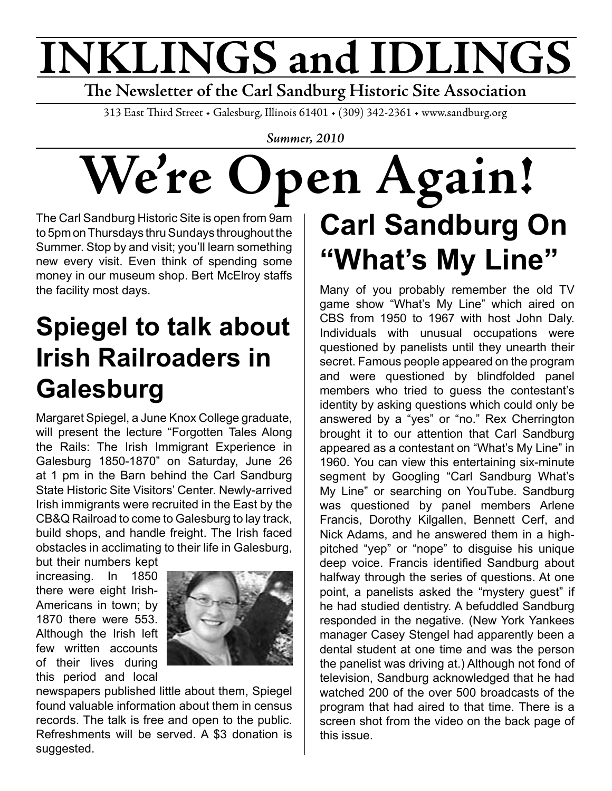## **INKLINGS and IDLINGS**

**The Newsletter of the Carl Sandburg Historic Site Association**

313 East Third Street • Galesburg, Illinois 61401 • (309) 342-2361 • www.sandburg.org

*Summer, 2010*

# **We're Open Again!**

The Carl Sandburg Historic Site is open from 9am to 5pm on Thursdays thru Sundays throughout the Summer. Stop by and visit; you'll learn something new every visit. Even think of spending some money in our museum shop. Bert McElroy staffs the facility most days.

#### **Spiegel to talk about Irish Railroaders in Galesburg**

Margaret Spiegel, a June Knox College graduate, will present the lecture "Forgotten Tales Along the Rails: The Irish Immigrant Experience in Galesburg 1850-1870" on Saturday, June 26 at 1 pm in the Barn behind the Carl Sandburg State Historic Site Visitors' Center. Newly-arrived Irish immigrants were recruited in the East by the CB&Q Railroad to come to Galesburg to lay track, build shops, and handle freight. The Irish faced obstacles in acclimating to their life in Galesburg,

but their numbers kept increasing. In 1850 there were eight Irish-Americans in town; by 1870 there were 553. Although the Irish left few written accounts of their lives during this period and local



newspapers published little about them, Spiegel found valuable information about them in census records. The talk is free and open to the public. Refreshments will be served. A \$3 donation is suggested.

**Carl Sandburg On "What's My Line"**

Many of you probably remember the old TV game show "What's My Line" which aired on CBS from 1950 to 1967 with host John Daly. Individuals with unusual occupations were questioned by panelists until they unearth their secret. Famous people appeared on the program and were questioned by blindfolded panel members who tried to guess the contestant's identity by asking questions which could only be answered by a "yes" or "no." Rex Cherrington brought it to our attention that Carl Sandburg appeared as a contestant on "What's My Line" in 1960. You can view this entertaining six-minute segment by Googling "Carl Sandburg What's My Line" or searching on YouTube. Sandburg was questioned by panel members Arlene Francis, Dorothy Kilgallen, Bennett Cerf, and Nick Adams, and he answered them in a highpitched "yep" or "nope" to disguise his unique deep voice. Francis identified Sandburg about halfway through the series of questions. At one point, a panelists asked the "mystery guest" if he had studied dentistry. A befuddled Sandburg responded in the negative. (New York Yankees manager Casey Stengel had apparently been a dental student at one time and was the person the panelist was driving at.) Although not fond of television, Sandburg acknowledged that he had watched 200 of the over 500 broadcasts of the program that had aired to that time. There is a screen shot from the video on the back page of this issue.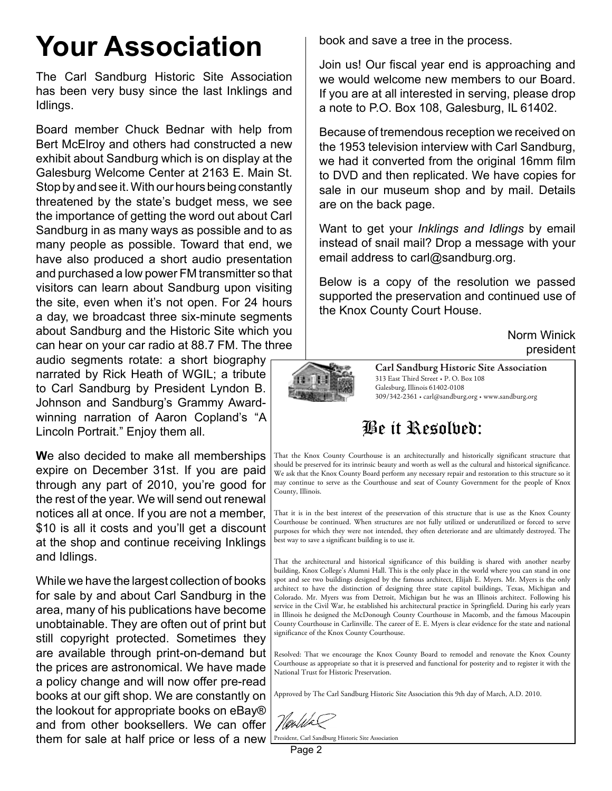### **Your Association**

The Carl Sandburg Historic Site Association has been very busy since the last Inklings and Idlings.

Board member Chuck Bednar with help from Bert McElroy and others had constructed a new exhibit about Sandburg which is on display at the Galesburg Welcome Center at 2163 E. Main St. Stop by and see it. With our hours being constantly threatened by the state's budget mess, we see the importance of getting the word out about Carl Sandburg in as many ways as possible and to as many people as possible. Toward that end, we have also produced a short audio presentation and purchased a low power FM transmitter so that visitors can learn about Sandburg upon visiting the site, even when it's not open. For 24 hours a day, we broadcast three six-minute segments about Sandburg and the Historic Site which you can hear on your car radio at 88.7 FM. The three

audio segments rotate: a short biography narrated by Rick Heath of WGIL; a tribute to Carl Sandburg by President Lyndon B. Johnson and Sandburg's Grammy Awardwinning narration of Aaron Copland's "A Lincoln Portrait." Enjoy them all.

**W**e also decided to make all memberships expire on December 31st. If you are paid through any part of 2010, you're good for the rest of the year. We will send out renewal notices all at once. If you are not a member, \$10 is all it costs and you'll get a discount at the shop and continue receiving Inklings and Idlings.

While we have the largest collection of books for sale by and about Carl Sandburg in the area, many of his publications have become unobtainable. They are often out of print but still copyright protected. Sometimes they are available through print-on-demand but the prices are astronomical. We have made a policy change and will now offer pre-read books at our gift shop. We are constantly on the lookout for appropriate books on eBay® and from other booksellers. We can offer them for sale at half price or less of a new book and save a tree in the process.

Join us! Our fiscal year end is approaching and we would welcome new members to our Board. If you are at all interested in serving, please drop a note to P.O. Box 108, Galesburg, IL 61402.

Because of tremendous reception we received on the 1953 television interview with Carl Sandburg, we had it converted from the original 16mm film to DVD and then replicated. We have copies for sale in our museum shop and by mail. Details are on the back page.

Want to get your *Inklings and Idlings* by email instead of snail mail? Drop a message with your email address to carl@sandburg.org.

Below is a copy of the resolution we passed supported the preservation and continued use of the Knox County Court House.

> Norm Winick president



**Carl Sandburg Historic Site Association** 313 East Third Street • P. O. Box 108 Galesburg, Illinois 61402-0108 309/342-2361 • carl@sandburg.org • www.sandburg.org

#### Be it Resolved:

That the Knox County Courthouse is an architecturally and historically significant structure that should be preserved for its intrinsic beauty and worth as well as the cultural and historical significance. We ask that the Knox County Board perform any necessary repair and restoration to this structure so it may continue to serve as the Courthouse and seat of County Government for the people of Knox County, Illinois.

That it is in the best interest of the preservation of this structure that is use as the Knox County Courthouse be continued. When structures are not fully utilized or underutilized or forced to serve purposes for which they were not intended, they often deteriorate and are ultimately destroyed. The best way to save a significant building is to use it.

That the architectural and historical significance of this building is shared with another nearby building, Knox College's Alumni Hall. This is the only place in the world where you can stand in one spot and see two buildings designed by the famous architect, Elijah E. Myers. Mr. Myers is the only architect to have the distinction of designing three state capitol buildings, Texas, Michigan and Colorado. Mr. Myers was from Detroit, Michigan but he was an Illinois architect. Following his service in the Civil War, he established his architectural practice in Springfield. During his early years in Illinois he designed the McDonough County Courthouse in Macomb, and the famous Macoupin County Courthouse in Carlinville. The career of E. E. Myers is clear evidence for the state and national significance of the Knox County Courthouse.

Resolved: That we encourage the Knox County Board to remodel and renovate the Knox County Courthouse as appropriate so that it is preserved and functional for posterity and to register it with the National Trust for Historic Preservation.

Approved by The Carl Sandburg Historic Site Association this 9th day of March, A.D. 2010.

President, Carl Sandburg Historic Site Association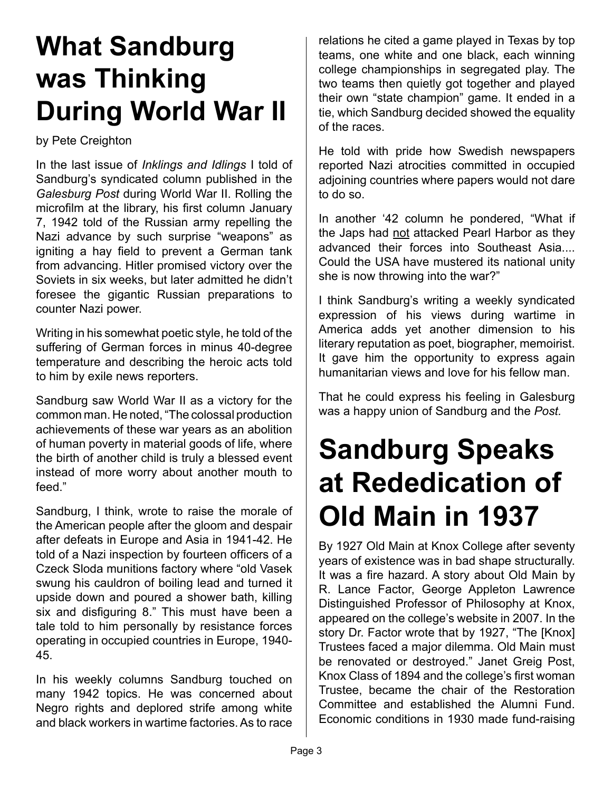#### **What Sandburg was Thinking During World War II**

by Pete Creighton

In the last issue of *Inklings and Idlings* I told of Sandburg's syndicated column published in the *Galesburg Post* during World War II. Rolling the microfilm at the library, his first column January 7, 1942 told of the Russian army repelling the Nazi advance by such surprise "weapons" as igniting a hay field to prevent a German tank from advancing. Hitler promised victory over the Soviets in six weeks, but later admitted he didn't foresee the gigantic Russian preparations to counter Nazi power.

Writing in his somewhat poetic style, he told of the suffering of German forces in minus 40-degree temperature and describing the heroic acts told to him by exile news reporters.

Sandburg saw World War II as a victory for the common man. He noted, "The colossal production achievements of these war years as an abolition of human poverty in material goods of life, where the birth of another child is truly a blessed event instead of more worry about another mouth to feed."

Sandburg, I think, wrote to raise the morale of the American people after the gloom and despair after defeats in Europe and Asia in 1941-42. He told of a Nazi inspection by fourteen officers of a Czeck Sloda munitions factory where "old Vasek swung his cauldron of boiling lead and turned it upside down and poured a shower bath, killing six and disfiguring 8." This must have been a tale told to him personally by resistance forces operating in occupied countries in Europe, 1940- 45.

In his weekly columns Sandburg touched on many 1942 topics. He was concerned about Negro rights and deplored strife among white and black workers in wartime factories. As to race relations he cited a game played in Texas by top teams, one white and one black, each winning college championships in segregated play. The two teams then quietly got together and played their own "state champion" game. It ended in a tie, which Sandburg decided showed the equality of the races.

He told with pride how Swedish newspapers reported Nazi atrocities committed in occupied adjoining countries where papers would not dare to do so.

In another '42 column he pondered, "What if the Japs had not attacked Pearl Harbor as they advanced their forces into Southeast Asia.... Could the USA have mustered its national unity she is now throwing into the war?"

I think Sandburg's writing a weekly syndicated expression of his views during wartime in America adds yet another dimension to his literary reputation as poet, biographer, memoirist. It gave him the opportunity to express again humanitarian views and love for his fellow man.

That he could express his feeling in Galesburg was a happy union of Sandburg and the *Post.*

### **Sandburg Speaks at Rededication of Old Main in 1937**

By 1927 Old Main at Knox College after seventy years of existence was in bad shape structurally. It was a fire hazard. A story about Old Main by R. Lance Factor, George Appleton Lawrence Distinguished Professor of Philosophy at Knox, appeared on the college's website in 2007. In the story Dr. Factor wrote that by 1927, "The [Knox] Trustees faced a major dilemma. Old Main must be renovated or destroyed." Janet Greig Post, Knox Class of 1894 and the college's first woman Trustee, became the chair of the Restoration Committee and established the Alumni Fund. Economic conditions in 1930 made fund-raising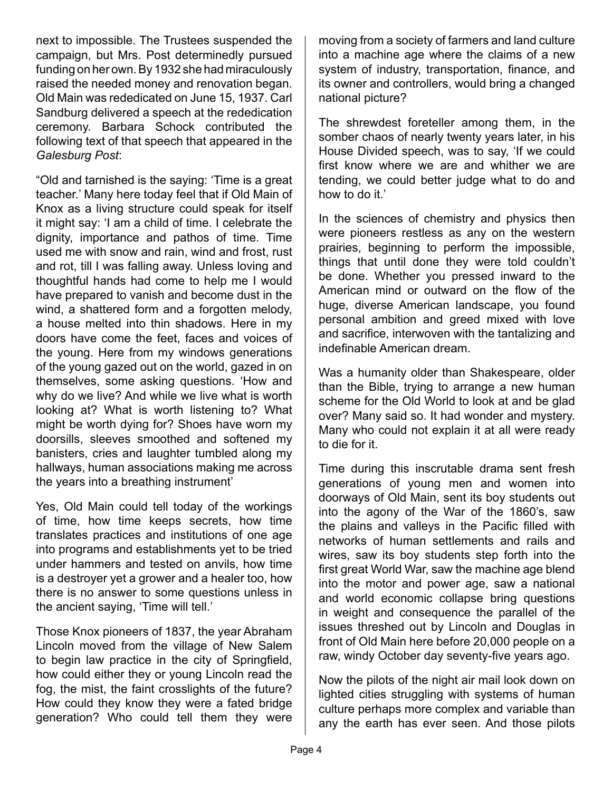next to impossible. The Trustees suspended the campaign, but Mrs. Post determinedly pursued funding on her own. By 1932 she had miraculously raised the needed money and renovation began. Old Main was rededicated on June 15, 1937. Carl Sandburg delivered a speech at the rededication ceremony. Barbara Schock contributed the following text of that speech that appeared in the *Galesburg Post*:

"Old and tarnished is the saying: 'Time is a great teacher.' Many here today feel that if Old Main of Knox as a living structure could speak for itself it might say: 'I am a child of time. I celebrate the dignity, importance and pathos of time. Time used me with snow and rain, wind and frost, rust and rot, till I was falling away. Unless loving and thoughtful hands had come to help me I would have prepared to vanish and become dust in the wind, a shattered form and a forgotten melody, a house melted into thin shadows. Here in my doors have come the feet, faces and voices of the young. Here from my windows generations of the young gazed out on the world, gazed in on themselves, some asking questions. 'How and why do we live? And while we live what is worth looking at? What is worth listening to? What might be worth dying for? Shoes have worn my doorsills, sleeves smoothed and softened my banisters, cries and laughter tumbled along my hallways, human associations making me across the years into a breathing instrument'

Yes, Old Main could tell today of the workings of time, how time keeps secrets, how time translates practices and institutions of one age into programs and establishments yet to be tried under hammers and tested on anvils, how time is a destroyer yet a grower and a healer too, how there is no answer to some questions unless in the ancient saying, 'Time will tell.'

Those Knox pioneers of 1837, the year Abraham Lincoln moved from the village of New Salem to begin law practice in the city of Springfield, how could either they or young Lincoln read the fog, the mist, the faint crosslights of the future? How could they know they were a fated bridge generation? Who could tell them they were moving from a society of farmers and land culture into a machine age where the claims of a new system of industry, transportation, finance, and its owner and controllers, would bring a changed national picture?

The shrewdest foreteller among them, in the somber chaos of nearly twenty years later, in his House Divided speech, was to say, 'If we could first know where we are and whither we are tending, we could better judge what to do and how to do it.'

In the sciences of chemistry and physics then were pioneers restless as any on the western prairies, beginning to perform the impossible, things that until done they were told couldn't be done. Whether you pressed inward to the American mind or outward on the flow of the huge, diverse American landscape, you found personal ambition and greed mixed with love and sacrifice, interwoven with the tantalizing and indefinable American dream.

Was a humanity older than Shakespeare, older than the Bible, trying to arrange a new human scheme for the Old World to look at and be glad over? Many said so. It had wonder and mystery. Many who could not explain it at all were ready to die for it.

Time during this inscrutable drama sent fresh generations of young men and women into doorways of Old Main, sent its boy students out into the agony of the War of the 1860's, saw the plains and valleys in the Pacific filled with networks of human settlements and rails and wires, saw its boy students step forth into the first great World War, saw the machine age blend into the motor and power age, saw a national and world economic collapse bring questions in weight and consequence the parallel of the issues threshed out by Lincoln and Douglas in front of Old Main here before 20,000 people on a raw, windy October day seventy-five years ago.

Now the pilots of the night air mail look down on lighted cities struggling with systems of human culture perhaps more complex and variable than any the earth has ever seen. And those pilots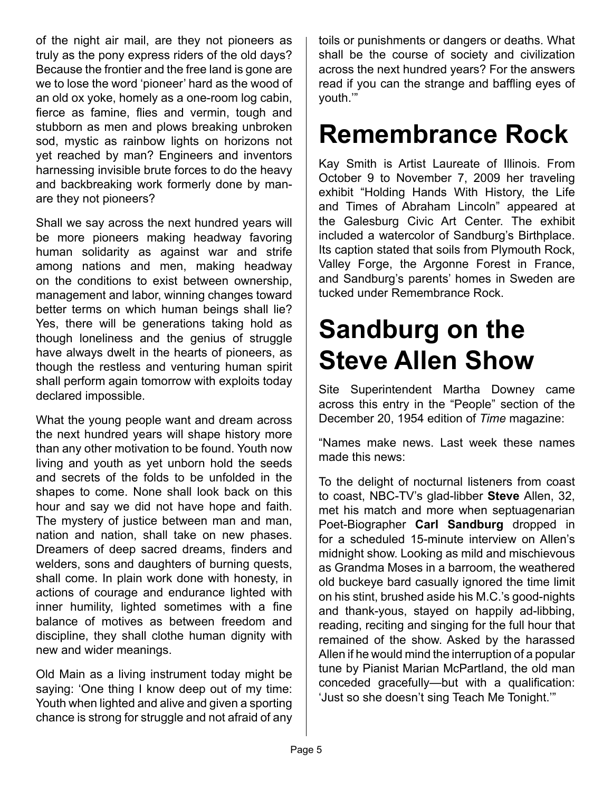of the night air mail, are they not pioneers as truly as the pony express riders of the old days? Because the frontier and the free land is gone are we to lose the word 'pioneer' hard as the wood of an old ox yoke, homely as a one-room log cabin, fierce as famine, flies and vermin, tough and stubborn as men and plows breaking unbroken sod, mystic as rainbow lights on horizons not yet reached by man? Engineers and inventors harnessing invisible brute forces to do the heavy and backbreaking work formerly done by manare they not pioneers?

Shall we say across the next hundred years will be more pioneers making headway favoring human solidarity as against war and strife among nations and men, making headway on the conditions to exist between ownership, management and labor, winning changes toward better terms on which human beings shall lie? Yes, there will be generations taking hold as though loneliness and the genius of struggle have always dwelt in the hearts of pioneers, as though the restless and venturing human spirit shall perform again tomorrow with exploits today declared impossible.

What the young people want and dream across the next hundred years will shape history more than any other motivation to be found. Youth now living and youth as yet unborn hold the seeds and secrets of the folds to be unfolded in the shapes to come. None shall look back on this hour and say we did not have hope and faith. The mystery of justice between man and man, nation and nation, shall take on new phases. Dreamers of deep sacred dreams, finders and welders, sons and daughters of burning quests, shall come. In plain work done with honesty, in actions of courage and endurance lighted with inner humility, lighted sometimes with a fine balance of motives as between freedom and discipline, they shall clothe human dignity with new and wider meanings.

Old Main as a living instrument today might be saying: 'One thing I know deep out of my time: Youth when lighted and alive and given a sporting chance is strong for struggle and not afraid of any toils or punishments or dangers or deaths. What shall be the course of society and civilization across the next hundred years? For the answers read if you can the strange and baffling eyes of youth.'"

#### **Remembrance Rock**

Kay Smith is Artist Laureate of Illinois. From October 9 to November 7, 2009 her traveling exhibit "Holding Hands With History, the Life and Times of Abraham Lincoln" appeared at the Galesburg Civic Art Center. The exhibit included a watercolor of Sandburg's Birthplace. Its caption stated that soils from Plymouth Rock, Valley Forge, the Argonne Forest in France, and Sandburg's parents' homes in Sweden are tucked under Remembrance Rock.

#### **Sandburg on the Steve Allen Show**

Site Superintendent Martha Downey came across this entry in the "People" section of the December 20, 1954 edition of *Time* magazine:

"Names make news. Last week these names made this news:

To the delight of nocturnal listeners from coast to coast, NBC-TV's glad-libber **Steve** Allen, 32, met his match and more when septuagenarian Poet-Biographer **Carl Sandburg** dropped in for a scheduled 15-minute interview on Allen's midnight show. Looking as mild and mischievous as Grandma Moses in a barroom, the weathered old buckeye bard casually ignored the time limit on his stint, brushed aside his M.C.'s good-nights and thank-yous, stayed on happily ad-libbing, reading, reciting and singing for the full hour that remained of the show. Asked by the harassed Allen if he would mind the interruption of a popular tune by Pianist Marian McPartland, the old man conceded gracefully—but with a qualification: 'Just so she doesn't sing Teach Me Tonight.'"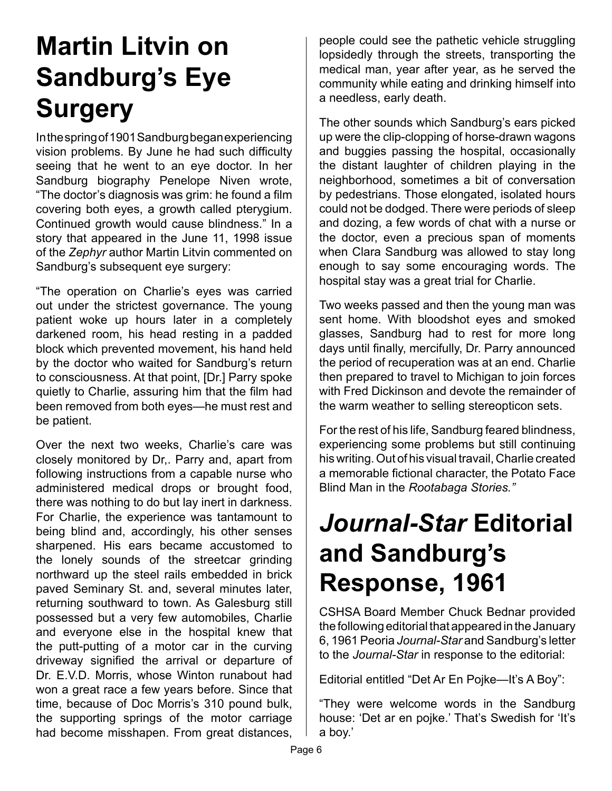#### **Martin Litvin on Sandburg's Eye Surgery**

In the spring of 1901 Sandburg began experiencing vision problems. By June he had such difficulty seeing that he went to an eye doctor. In her Sandburg biography Penelope Niven wrote, "The doctor's diagnosis was grim: he found a film covering both eyes, a growth called pterygium. Continued growth would cause blindness." In a story that appeared in the June 11, 1998 issue of the *Zephyr* author Martin Litvin commented on Sandburg's subsequent eye surgery:

"The operation on Charlie's eyes was carried out under the strictest governance. The young patient woke up hours later in a completely darkened room, his head resting in a padded block which prevented movement, his hand held by the doctor who waited for Sandburg's return to consciousness. At that point, [Dr.] Parry spoke quietly to Charlie, assuring him that the film had been removed from both eyes—he must rest and be patient.

Over the next two weeks, Charlie's care was closely monitored by Dr,. Parry and, apart from following instructions from a capable nurse who administered medical drops or brought food, there was nothing to do but lay inert in darkness. For Charlie, the experience was tantamount to being blind and, accordingly, his other senses sharpened. His ears became accustomed to the lonely sounds of the streetcar grinding northward up the steel rails embedded in brick paved Seminary St. and, several minutes later, returning southward to town. As Galesburg still possessed but a very few automobiles, Charlie and everyone else in the hospital knew that the putt-putting of a motor car in the curving driveway signified the arrival or departure of Dr. E.V.D. Morris, whose Winton runabout had won a great race a few years before. Since that time, because of Doc Morris's 310 pound bulk, the supporting springs of the motor carriage had become misshapen. From great distances,

people could see the pathetic vehicle struggling lopsidedly through the streets, transporting the medical man, year after year, as he served the community while eating and drinking himself into a needless, early death.

The other sounds which Sandburg's ears picked up were the clip-clopping of horse-drawn wagons and buggies passing the hospital, occasionally the distant laughter of children playing in the neighborhood, sometimes a bit of conversation by pedestrians. Those elongated, isolated hours could not be dodged. There were periods of sleep and dozing, a few words of chat with a nurse or the doctor, even a precious span of moments when Clara Sandburg was allowed to stay long enough to say some encouraging words. The hospital stay was a great trial for Charlie.

Two weeks passed and then the young man was sent home. With bloodshot eyes and smoked glasses, Sandburg had to rest for more long days until finally, mercifully, Dr. Parry announced the period of recuperation was at an end. Charlie then prepared to travel to Michigan to join forces with Fred Dickinson and devote the remainder of the warm weather to selling stereopticon sets.

For the rest of his life, Sandburg feared blindness, experiencing some problems but still continuing his writing. Out of his visual travail, Charlie created a memorable fictional character, the Potato Face Blind Man in the *Rootabaga Stories."*

#### *Journal-Star* **Editorial and Sandburg's Response, 1961**

CSHSA Board Member Chuck Bednar provided the following editorial that appeared in the January 6, 1961 Peoria *Journal-Star* and Sandburg's letter to the *Journal-Star* in response to the editorial:

Editorial entitled "Det Ar En Pojke—It's A Boy":

"They were welcome words in the Sandburg house: 'Det ar en pojke.' That's Swedish for 'It's a boy.'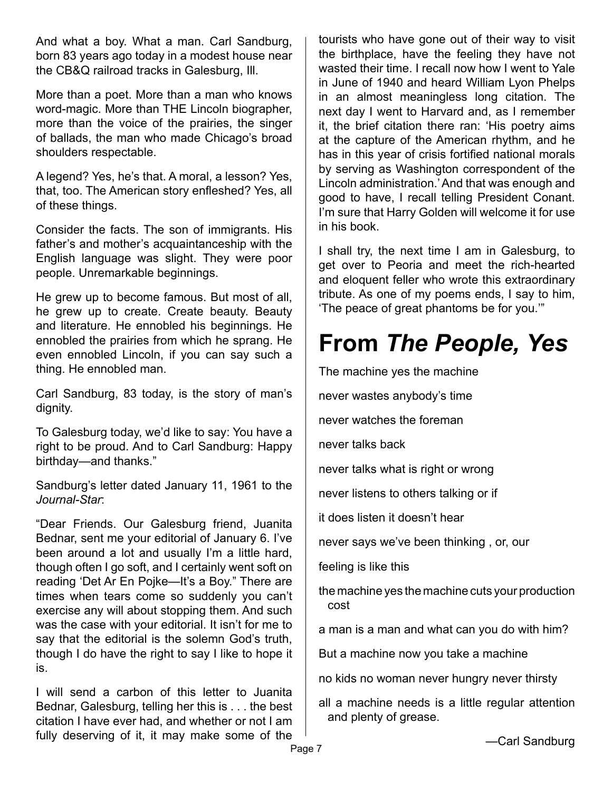And what a boy. What a man. Carl Sandburg, born 83 years ago today in a modest house near the CB&Q railroad tracks in Galesburg, Ill.

More than a poet. More than a man who knows word-magic. More than THE Lincoln biographer, more than the voice of the prairies, the singer of ballads, the man who made Chicago's broad shoulders respectable.

A legend? Yes, he's that. A moral, a lesson? Yes, that, too. The American story enfleshed? Yes, all of these things.

Consider the facts. The son of immigrants. His father's and mother's acquaintanceship with the English language was slight. They were poor people. Unremarkable beginnings.

He grew up to become famous. But most of all, he grew up to create. Create beauty. Beauty and literature. He ennobled his beginnings. He ennobled the prairies from which he sprang. He even ennobled Lincoln, if you can say such a thing. He ennobled man.

Carl Sandburg, 83 today, is the story of man's dignity.

To Galesburg today, we'd like to say: You have a right to be proud. And to Carl Sandburg: Happy birthday—and thanks."

Sandburg's letter dated January 11, 1961 to the *Journal-Star*:

"Dear Friends. Our Galesburg friend, Juanita Bednar, sent me your editorial of January 6. I've been around a lot and usually I'm a little hard, though often I go soft, and I certainly went soft on reading 'Det Ar En Pojke—It's a Boy." There are times when tears come so suddenly you can't exercise any will about stopping them. And such was the case with your editorial. It isn't for me to say that the editorial is the solemn God's truth, though I do have the right to say I like to hope it is.

I will send a carbon of this letter to Juanita Bednar, Galesburg, telling her this is . . . the best citation I have ever had, and whether or not I am fully deserving of it, it may make some of the

tourists who have gone out of their way to visit the birthplace, have the feeling they have not wasted their time. I recall now how I went to Yale in June of 1940 and heard William Lyon Phelps in an almost meaningless long citation. The next day I went to Harvard and, as I remember it, the brief citation there ran: 'His poetry aims at the capture of the American rhythm, and he has in this year of crisis fortified national morals by serving as Washington correspondent of the Lincoln administration.' And that was enough and good to have, I recall telling President Conant. I'm sure that Harry Golden will welcome it for use in his book.

I shall try, the next time I am in Galesburg, to get over to Peoria and meet the rich-hearted and eloquent feller who wrote this extraordinary tribute. As one of my poems ends, I say to him, 'The peace of great phantoms be for you.'"

#### **From** *The People, Yes*

The machine yes the machine

never wastes anybody's time

never watches the foreman

never talks back

never talks what is right or wrong

never listens to others talking or if

it does listen it doesn't hear

never says we've been thinking , or, our

feeling is like this

the machine yes the machine cuts your production cost

a man is a man and what can you do with him?

But a machine now you take a machine

no kids no woman never hungry never thirsty

all a machine needs is a little regular attention and plenty of grease.